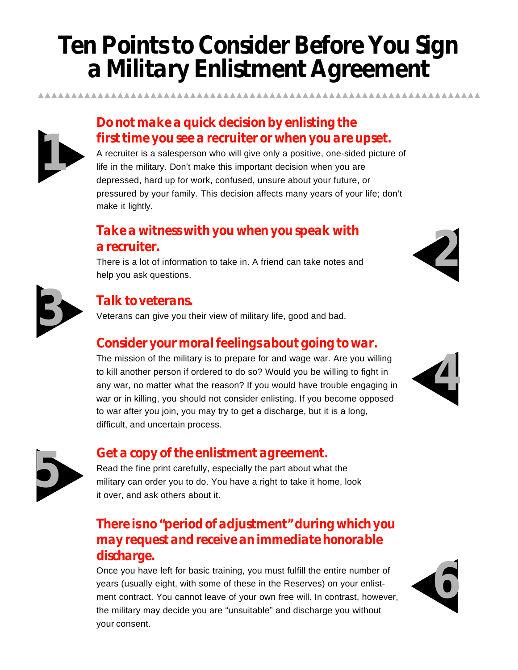# **Ten Points to Consider Before You Sign a Military Enlistment Agreement**

▲▲▲▲▲▲▲▲▲▲▲▲▲▲▲▲▲▲▲▲▲▲▲▲▲▲▲▲▲▲▲▲▲▲▲▲▲▲▲▲▲▲▲▲▲▲▲▲▲▲▲▲▲▲▲▲▲▲▲▲▲▲▲▲▲▲▲



# **Do not make a quick decision by enlisting the first time you see a recruiter or when you are upset.**

A recruiter is a salesperson who will give only a positive, one-sided picture of life in the military. Don't make this important decision when you are depressed, hard up for work, confused, unsure about your future, or pressured by your family. This decision affects many years of your life; don't make it lightly.

# **Take a witness with you when you speak with a recruiter.**

There is a lot of information to take in. A friend can take notes and help you ask questions.





# **Talk to veterans.**

Veterans can give you their view of military life, good and bad.

# **Consider your moral feelings about going to war.**

The mission of the military is to prepare for and wage war. Are you willing to kill another person if ordered to do so? Would you be willing to fight in any war, no matter what the reason? If you would have trouble engaging in war or in killing, you should not consider enlisting. If you become opposed to war after you join, you may try to get a discharge, but it is a long, difficult, and uncertain process.





# **Get a copy of the enlistment agreement.**

Read the fine print carefully, especially the part about what the military can order you to do. You have a right to take it home, look it over, and ask others about it.

# **There is no "period of adjustment" during which you may request and receive an immediate honorable discharge.**

Once you have left for basic training, you must fulfill the entire number of years (usually eight, with some of these in the Reserves) on your enlistment contract. You cannot leave of your own free will. In contrast, however, the military may decide you are "unsuitable" and discharge you without your consent.